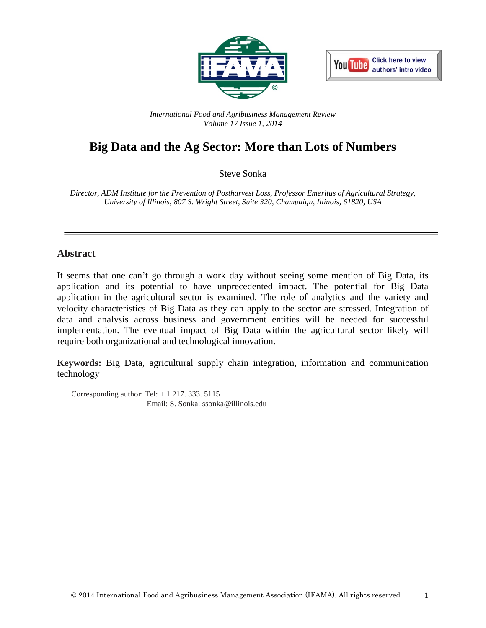



*International Food and Agribusiness Management Review Volume 17 Issue 1, 2014*

# **Big Data and the Ag Sector: More than Lots of Numbers**

Steve Sonka

*Director, ADM Institute for the Prevention of Postharvest Loss, Professor Emeritus of Agricultural Strategy, University of Illinois, 807 S. Wright Street, Suite 320, Champaign, Illinois, 61820, USA*

#### **Abstract**

It seems that one can't go through a work day without seeing some mention of Big Data, its application and its potential to have unprecedented impact. The potential for Big Data application in the agricultural sector is examined. The role of analytics and the variety and velocity characteristics of Big Data as they can apply to the sector are stressed. Integration of data and analysis across business and government entities will be needed for successful implementation. The eventual impact of Big Data within the agricultural sector likely will require both organizational and technological innovation.

**Keywords:** Big Data, agricultural supply chain integration, information and communication technology

Corresponding author: Tel:  $+ 1217$ . 333. 5115 Email: S. Sonka: ssonka@illinois.edu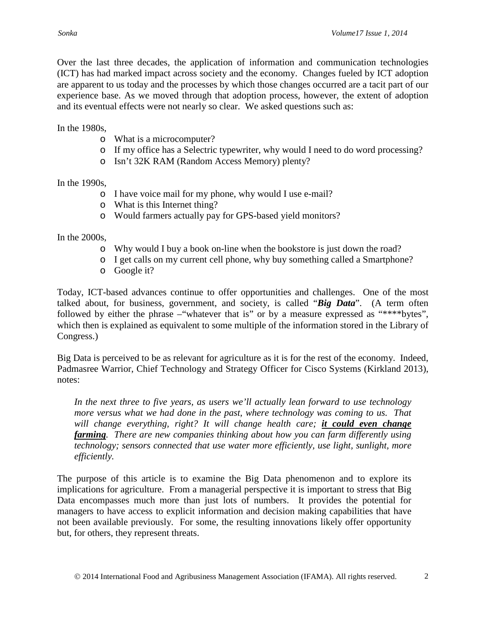Over the last three decades, the application of information and communication technologies (ICT) has had marked impact across society and the economy. Changes fueled by ICT adoption are apparent to us today and the processes by which those changes occurred are a tacit part of our experience base. As we moved through that adoption process, however, the extent of adoption and its eventual effects were not nearly so clear. We asked questions such as:

In the 1980s,

- o What is a microcomputer?
- o If my office has a Selectric typewriter, why would I need to do word processing?
- o Isn't 32K RAM (Random Access Memory) plenty?

In the 1990s,

- o I have voice mail for my phone, why would I use e-mail?
- o What is this Internet thing?
- o Would farmers actually pay for GPS-based yield monitors?

In the 2000s,

- o Why would I buy a book on-line when the bookstore is just down the road?
- o I get calls on my current cell phone, why buy something called a Smartphone?
- o Google it?

Today, ICT-based advances continue to offer opportunities and challenges. One of the most talked about, for business, government, and society, is called "*Big Data*". (A term often followed by either the phrase – "whatever that is" or by a measure expressed as "\*\*\*\*bytes", which then is explained as equivalent to some multiple of the information stored in the Library of Congress.)

Big Data is perceived to be as relevant for agriculture as it is for the rest of the economy. Indeed, Padmasree Warrior, Chief Technology and Strategy Officer for Cisco Systems (Kirkland 2013), notes:

*In the next three to five years, as users we'll actually lean forward to use technology more versus what we had done in the past, where technology was coming to us. That will change everything, right? It will change health care; it could even change farming. There are new companies thinking about how you can farm differently using technology; sensors connected that use water more efficiently, use light, sunlight, more efficiently.*

The purpose of this article is to examine the Big Data phenomenon and to explore its implications for agriculture. From a managerial perspective it is important to stress that Big Data encompasses much more than just lots of numbers. It provides the potential for managers to have access to explicit information and decision making capabilities that have not been available previously. For some, the resulting innovations likely offer opportunity but, for others, they represent threats.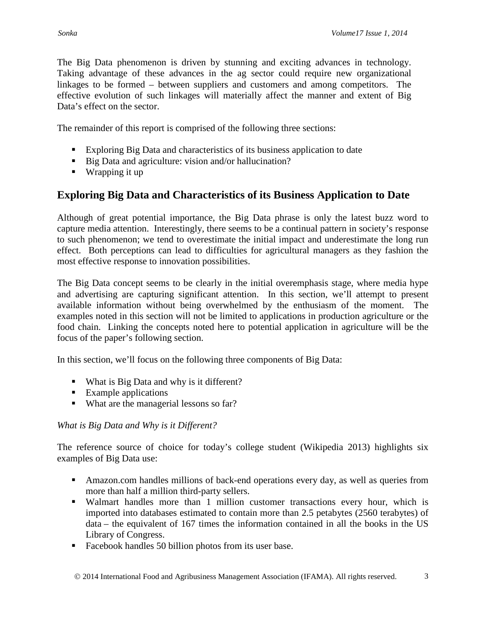The Big Data phenomenon is driven by stunning and exciting advances in technology. Taking advantage of these advances in the ag sector could require new organizational linkages to be formed – between suppliers and customers and among competitors. The effective evolution of such linkages will materially affect the manner and extent of Big Data's effect on the sector.

The remainder of this report is comprised of the following three sections:

- Exploring Big Data and characteristics of its business application to date
- Big Data and agriculture: vision and/or hallucination?
- $\blacksquare$  Wrapping it up

### **Exploring Big Data and Characteristics of its Business Application to Date**

Although of great potential importance, the Big Data phrase is only the latest buzz word to capture media attention. Interestingly, there seems to be a continual pattern in society's response to such phenomenon; we tend to overestimate the initial impact and underestimate the long run effect. Both perceptions can lead to difficulties for agricultural managers as they fashion the most effective response to innovation possibilities.

The Big Data concept seems to be clearly in the initial overemphasis stage, where media hype and advertising are capturing significant attention. In this section, we'll attempt to present available information without being overwhelmed by the enthusiasm of the moment. The examples noted in this section will not be limited to applications in production agriculture or the food chain. Linking the concepts noted here to potential application in agriculture will be the focus of the paper's following section.

In this section, we'll focus on the following three components of Big Data:

- What is Big Data and why is it different?
- **Example applications**
- What are the managerial lessons so far?

#### *What is Big Data and Why is it Different?*

The reference source of choice for today's college student (Wikipedia 2013) highlights six examples of Big Data use:

- Amazon.com handles millions of back-end operations every day, as well as queries from more than half a million third-party sellers.
- Walmart handles more than 1 million customer transactions every hour, which is imported into databases estimated to contain more than 2.5 petabytes (2560 terabytes) of data – the equivalent of 167 times the information contained in all the books in the US Library of Congress.
- Facebook handles 50 billion photos from its user base.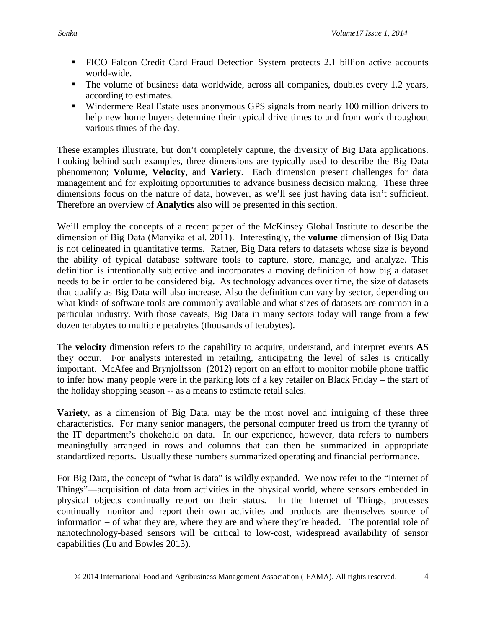- FICO Falcon Credit Card Fraud Detection System protects 2.1 billion active accounts world-wide.
- The volume of business data worldwide, across all companies, doubles every 1.2 years, according to estimates.
- Windermere Real Estate uses anonymous GPS signals from nearly 100 million drivers to help new home buyers determine their typical drive times to and from work throughout various times of the day.

These examples illustrate, but don't completely capture, the diversity of Big Data applications. Looking behind such examples, three dimensions are typically used to describe the Big Data phenomenon; **Volume**, **Velocity**, and **Variety**. Each dimension present challenges for data management and for exploiting opportunities to advance business decision making. These three dimensions focus on the nature of data, however, as we'll see just having data isn't sufficient. Therefore an overview of **Analytics** also will be presented in this section.

We'll employ the concepts of a recent paper of the McKinsey Global Institute to describe the dimension of Big Data (Manyika et al. 2011). Interestingly, the **volume** dimension of Big Data is not delineated in quantitative terms. Rather, Big Data refers to datasets whose size is beyond the ability of typical database software tools to capture, store, manage, and analyze. This definition is intentionally subjective and incorporates a moving definition of how big a dataset needs to be in order to be considered big. As technology advances over time, the size of datasets that qualify as Big Data will also increase. Also the definition can vary by sector, depending on what kinds of software tools are commonly available and what sizes of datasets are common in a particular industry. With those caveats, Big Data in many sectors today will range from a few dozen terabytes to multiple petabytes (thousands of terabytes).

The **velocity** dimension refers to the capability to acquire, understand, and interpret events **AS** they occur. For analysts interested in retailing, anticipating the level of sales is critically important. McAfee and Brynjolfsson (2012) report on an effort to monitor mobile phone traffic to infer how many people were in the parking lots of a key retailer on Black Friday – the start of the holiday shopping season -- as a means to estimate retail sales.

**Variety**, as a dimension of Big Data, may be the most novel and intriguing of these three characteristics. For many senior managers, the personal computer freed us from the tyranny of the IT department's chokehold on data. In our experience, however, data refers to numbers meaningfully arranged in rows and columns that can then be summarized in appropriate standardized reports. Usually these numbers summarized operating and financial performance.

For Big Data, the concept of "what is data" is wildly expanded. We now refer to the "Internet of Things"—acquisition of data from activities in the physical world, where sensors embedded in physical objects continually report on their status. In the Internet of Things, processes continually monitor and report their own activities and products are themselves source of information – of what they are, where they are and where they're headed. The potential role of nanotechnology-based sensors will be critical to low-cost, widespread availability of sensor capabilities (Lu and Bowles 2013).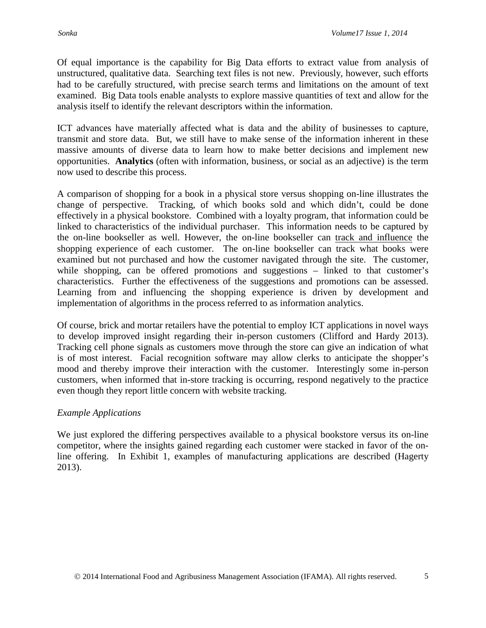Of equal importance is the capability for Big Data efforts to extract value from analysis of unstructured, qualitative data. Searching text files is not new. Previously, however, such efforts had to be carefully structured, with precise search terms and limitations on the amount of text examined. Big Data tools enable analysts to explore massive quantities of text and allow for the analysis itself to identify the relevant descriptors within the information.

ICT advances have materially affected what is data and the ability of businesses to capture, transmit and store data. But, we still have to make sense of the information inherent in these massive amounts of diverse data to learn how to make better decisions and implement new opportunities. **Analytics** (often with information, business, or social as an adjective) is the term now used to describe this process.

A comparison of shopping for a book in a physical store versus shopping on-line illustrates the change of perspective. Tracking, of which books sold and which didn't, could be done effectively in a physical bookstore. Combined with a loyalty program, that information could be linked to characteristics of the individual purchaser. This information needs to be captured by the on-line bookseller as well. However, the on-line bookseller can track and influence the shopping experience of each customer. The on-line bookseller can track what books were examined but not purchased and how the customer navigated through the site. The customer, while shopping, can be offered promotions and suggestions – linked to that customer's characteristics. Further the effectiveness of the suggestions and promotions can be assessed. Learning from and influencing the shopping experience is driven by development and implementation of algorithms in the process referred to as information analytics.

Of course, brick and mortar retailers have the potential to employ ICT applications in novel ways to develop improved insight regarding their in-person customers (Clifford and Hardy 2013). Tracking cell phone signals as customers move through the store can give an indication of what is of most interest. Facial recognition software may allow clerks to anticipate the shopper's mood and thereby improve their interaction with the customer. Interestingly some in-person customers, when informed that in-store tracking is occurring, respond negatively to the practice even though they report little concern with website tracking.

#### *Example Applications*

We just explored the differing perspectives available to a physical bookstore versus its on-line competitor, where the insights gained regarding each customer were stacked in favor of the online offering. In Exhibit 1, examples of manufacturing applications are described (Hagerty 2013).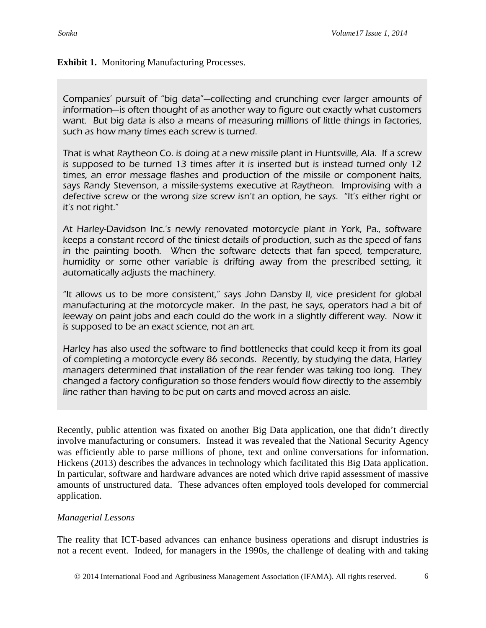### **Exhibit 1.** Monitoring Manufacturing Processes.

Companies' pursuit of "big data"—collecting and crunching ever larger amounts of information—is often thought of as another way to figure out exactly what customers want. But big data is also a means of measuring millions of little things in factories, such as how many times each screw is turned.

That is what Raytheon Co. is doing at a new missile plant in Huntsville, Ala. If a screw is supposed to be turned 13 times after it is inserted but is instead turned only 12 times, an error message flashes and production of the missile or component halts, says Randy Stevenson, a missile-systems executive at Raytheon. Improvising with a defective screw or the wrong size screw isn't an option, he says. "It's either right or it's not right."

At Harley-Davidson Inc.'s newly renovated motorcycle plant in York, Pa., software keeps a constant record of the tiniest details of production, such as the speed of fans in the painting booth. When the software detects that fan speed, temperature, humidity or some other variable is drifting away from the prescribed setting, it automatically adjusts the machinery.

"It allows us to be more consistent," says John Dansby II, vice president for global manufacturing at the motorcycle maker. In the past, he says, operators had a bit of leeway on paint jobs and each could do the work in a slightly different way. Now it is supposed to be an exact science, not an art.

Harley has also used the software to find bottlenecks that could keep it from its goal of completing a motorcycle every 86 seconds. Recently, by studying the data, Harley managers determined that installation of the rear fender was taking too long. They changed a factory configuration so those fenders would flow directly to the assembly line rather than having to be put on carts and moved across an aisle.

Recently, public attention was fixated on another Big Data application, one that didn't directly involve manufacturing or consumers. Instead it was revealed that the National Security Agency was efficiently able to parse millions of phone, text and online conversations for information. Hickens (2013) describes the advances in technology which facilitated this Big Data application. In particular, software and hardware advances are noted which drive rapid assessment of massive amounts of unstructured data. These advances often employed tools developed for commercial application.

#### *Managerial Lessons*

The reality that ICT-based advances can enhance business operations and disrupt industries is not a recent event. Indeed, for managers in the 1990s, the challenge of dealing with and taking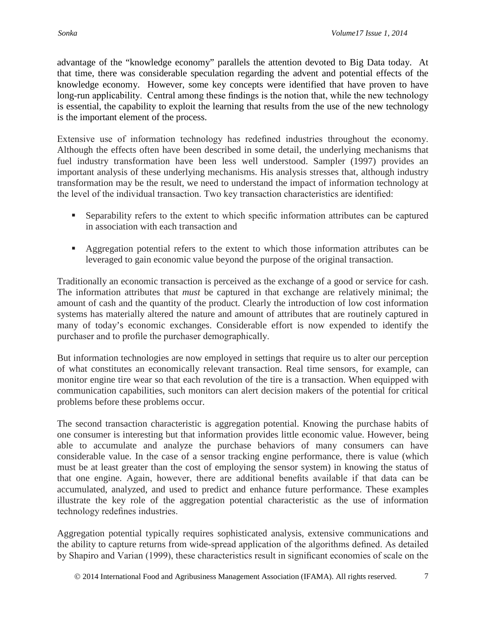advantage of the "knowledge economy" parallels the attention devoted to Big Data today. At that time, there was considerable speculation regarding the advent and potential effects of the knowledge economy. However, some key concepts were identified that have proven to have long-run applicability. Central among these findings is the notion that, while the new technology is essential, the capability to exploit the learning that results from the use of the new technology is the important element of the process.

Extensive use of information technology has redefined industries throughout the economy. Although the effects often have been described in some detail, the underlying mechanisms that fuel industry transformation have been less well understood. Sampler (1997) provides an important analysis of these underlying mechanisms. His analysis stresses that, although industry transformation may be the result, we need to understand the impact of information technology at the level of the individual transaction. Two key transaction characteristics are identified:

- Separability refers to the extent to which specific information attributes can be captured in association with each transaction and
- Aggregation potential refers to the extent to which those information attributes can be leveraged to gain economic value beyond the purpose of the original transaction.

Traditionally an economic transaction is perceived as the exchange of a good or service for cash. The information attributes that *must* be captured in that exchange are relatively minimal; the amount of cash and the quantity of the product. Clearly the introduction of low cost information systems has materially altered the nature and amount of attributes that are routinely captured in many of today's economic exchanges. Considerable effort is now expended to identify the purchaser and to profile the purchaser demographically.

But information technologies are now employed in settings that require us to alter our perception of what constitutes an economically relevant transaction. Real time sensors, for example, can monitor engine tire wear so that each revolution of the tire is a transaction. When equipped with communication capabilities, such monitors can alert decision makers of the potential for critical problems before these problems occur.

The second transaction characteristic is aggregation potential. Knowing the purchase habits of one consumer is interesting but that information provides little economic value. However, being able to accumulate and analyze the purchase behaviors of many consumers can have considerable value. In the case of a sensor tracking engine performance, there is value (which must be at least greater than the cost of employing the sensor system) in knowing the status of that one engine. Again, however, there are additional benefits available if that data can be accumulated, analyzed, and used to predict and enhance future performance. These examples illustrate the key role of the aggregation potential characteristic as the use of information technology redefines industries.

Aggregation potential typically requires sophisticated analysis, extensive communications and the ability to capture returns from wide-spread application of the algorithms defined. As detailed by Shapiro and Varian (1999), these characteristics result in significant economies of scale on the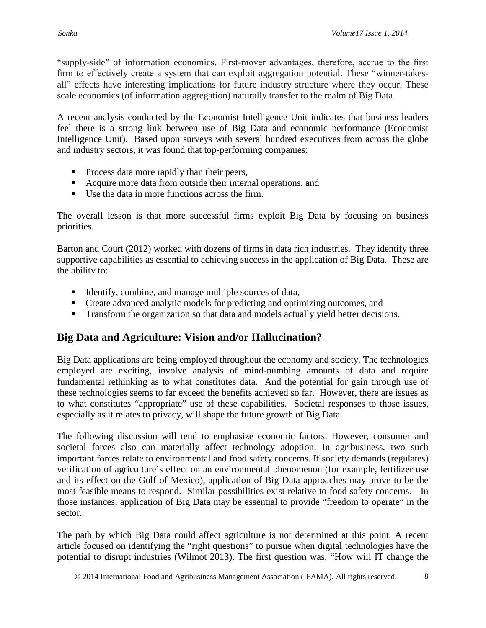"supply-side" of information economics. First-mover advantages, therefore, accrue to the first firm to effectively create a system that can exploit aggregation potential. These "winner-takesall" effects have interesting implications for future industry structure where they occur. These scale economics (of information aggregation) naturally transfer to the realm of Big Data.

A recent analysis conducted by the Economist Intelligence Unit indicates that business leaders feel there is a strong link between use of Big Data and economic performance (Economist Intelligence Unit). Based upon surveys with several hundred executives from across the globe and industry sectors, it was found that top-performing companies:

- **Process data more rapidly than their peers,**
- Acquire more data from outside their internal operations, and
- Use the data in more functions across the firm.

The overall lesson is that more successful firms exploit Big Data by focusing on business priorities.

Barton and Court (2012) worked with dozens of firms in data rich industries. They identify three supportive capabilities as essential to achieving success in the application of Big Data. These are the ability to:

- Identify, combine, and manage multiple sources of data,
- Create advanced analytic models for predicting and optimizing outcomes, and
- **Transform the organization so that data and models actually yield better decisions.**

## **Big Data and Agriculture: Vision and/or Hallucination?**

Big Data applications are being employed throughout the economy and society. The technologies employed are exciting, involve analysis of mind-numbing amounts of data and require fundamental rethinking as to what constitutes data. And the potential for gain through use of these technologies seems to far exceed the benefits achieved so far. However, there are issues as to what constitutes "appropriate" use of these capabilities. Societal responses to those issues, especially as it relates to privacy, will shape the future growth of Big Data.

The following discussion will tend to emphasize economic factors. However, consumer and societal forces also can materially affect technology adoption. In agribusiness, two such important forces relate to environmental and food safety concerns. If society demands (regulates) verification of agriculture's effect on an environmental phenomenon (for example, fertilizer use and its effect on the Gulf of Mexico), application of Big Data approaches may prove to be the most feasible means to respond. Similar possibilities exist relative to food safety concerns. In those instances, application of Big Data may be essential to provide "freedom to operate" in the sector.

The path by which Big Data could affect agriculture is not determined at this point. A recent article focused on identifying the "right questions" to pursue when digital technologies have the potential to disrupt industries (Wilmot 2013). The first question was, "How will IT change the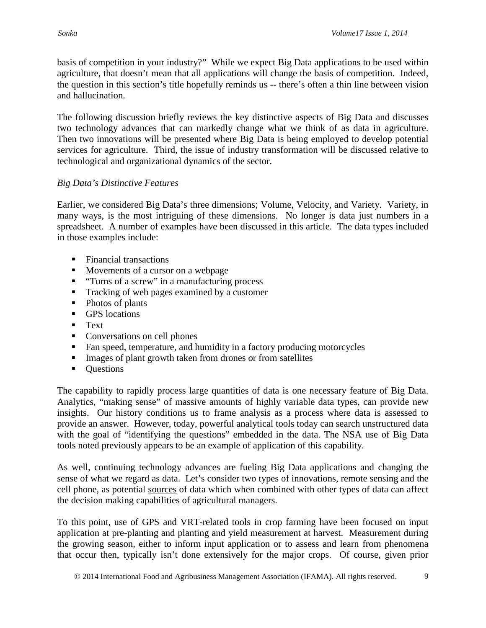basis of competition in your industry?" While we expect Big Data applications to be used within agriculture, that doesn't mean that all applications will change the basis of competition. Indeed, the question in this section's title hopefully reminds us -- there's often a thin line between vision and hallucination.

The following discussion briefly reviews the key distinctive aspects of Big Data and discusses two technology advances that can markedly change what we think of as data in agriculture. Then two innovations will be presented where Big Data is being employed to develop potential services for agriculture. Third, the issue of industry transformation will be discussed relative to technological and organizational dynamics of the sector.

### *Big Data's Distinctive Features*

Earlier, we considered Big Data's three dimensions; Volume, Velocity, and Variety. Variety, in many ways, is the most intriguing of these dimensions. No longer is data just numbers in a spreadsheet. A number of examples have been discussed in this article. The data types included in those examples include:

- Financial transactions
- **Movements of a cursor on a webpage**
- "Turns of a screw" in a manufacturing process
- Tracking of web pages examined by a customer
- Photos of plants
- **GPS** locations
- **Text**
- Conversations on cell phones
- Fan speed, temperature, and humidity in a factory producing motorcycles
- **IMAGE 1** Images of plant growth taken from drones or from satellites
- Questions

The capability to rapidly process large quantities of data is one necessary feature of Big Data. Analytics, "making sense" of massive amounts of highly variable data types, can provide new insights. Our history conditions us to frame analysis as a process where data is assessed to provide an answer. However, today, powerful analytical tools today can search unstructured data with the goal of "identifying the questions" embedded in the data. The NSA use of Big Data tools noted previously appears to be an example of application of this capability.

As well, continuing technology advances are fueling Big Data applications and changing the sense of what we regard as data. Let's consider two types of innovations, remote sensing and the cell phone, as potential sources of data which when combined with other types of data can affect the decision making capabilities of agricultural managers.

To this point, use of GPS and VRT-related tools in crop farming have been focused on input application at pre-planting and planting and yield measurement at harvest. Measurement during the growing season, either to inform input application or to assess and learn from phenomena that occur then, typically isn't done extensively for the major crops. Of course, given prior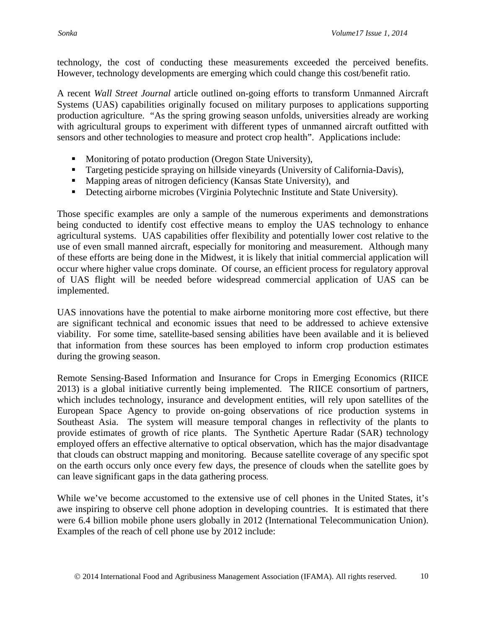technology, the cost of conducting these measurements exceeded the perceived benefits. However, technology developments are emerging which could change this cost/benefit ratio.

A recent *Wall Street Journal* article outlined on-going efforts to transform Unmanned Aircraft Systems (UAS) capabilities originally focused on military purposes to applications supporting production agriculture. "As the spring growing season unfolds, universities already are working with agricultural groups to experiment with different types of unmanned aircraft outfitted with sensors and other technologies to measure and protect crop health". Applications include:

- Monitoring of potato production (Oregon State University),
- Targeting pesticide spraying on hillside vineyards (University of California-Davis),
- Mapping areas of nitrogen deficiency (Kansas State University), and
- Detecting airborne microbes (Virginia Polytechnic Institute and State University).

Those specific examples are only a sample of the numerous experiments and demonstrations being conducted to identify cost effective means to employ the UAS technology to enhance agricultural systems. UAS capabilities offer flexibility and potentially lower cost relative to the use of even small manned aircraft, especially for monitoring and measurement. Although many of these efforts are being done in the Midwest, it is likely that initial commercial application will occur where higher value crops dominate. Of course, an efficient process for regulatory approval of UAS flight will be needed before widespread commercial application of UAS can be implemented.

UAS innovations have the potential to make airborne monitoring more cost effective, but there are significant technical and economic issues that need to be addressed to achieve extensive viability. For some time, satellite-based sensing abilities have been available and it is believed that information from these sources has been employed to inform crop production estimates during the growing season.

Remote Sensing-Based Information and Insurance for Crops in Emerging Economics (RIICE 2013) is a global initiative currently being implemented. The RIICE consortium of partners, which includes technology, insurance and development entities, will rely upon satellites of the European Space Agency to provide on-going observations of rice production systems in Southeast Asia. The system will measure temporal changes in reflectivity of the plants to provide estimates of growth of rice plants. The Synthetic Aperture Radar (SAR) technology employed offers an effective alternative to optical observation, which has the major disadvantage that clouds can obstruct mapping and monitoring. Because satellite coverage of any specific spot on the earth occurs only once every few days, the presence of clouds when the satellite goes by can leave significant gaps in the data gathering process.

While we've become accustomed to the extensive use of cell phones in the United States, it's awe inspiring to observe cell phone adoption in developing countries. It is estimated that there were 6.4 billion mobile phone users globally in 2012 (International Telecommunication Union). Examples of the reach of cell phone use by 2012 include: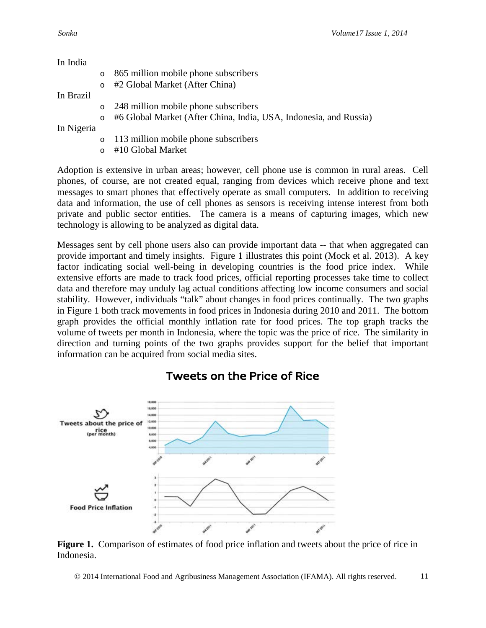| In India   |         |                                                                   |
|------------|---------|-------------------------------------------------------------------|
|            | $\circ$ | 865 million mobile phone subscribers                              |
|            | $\circ$ | #2 Global Market (After China)                                    |
| In Brazil  |         |                                                                   |
|            |         | o 248 million mobile phone subscribers                            |
|            | $\circ$ | #6 Global Market (After China, India, USA, Indonesia, and Russia) |
| In Nigeria |         |                                                                   |
|            |         | $\circ$ 113 million mobile phone subscribers                      |

o #10 Global Market

Adoption is extensive in urban areas; however, cell phone use is common in rural areas. Cell phones, of course, are not created equal, ranging from devices which receive phone and text messages to smart phones that effectively operate as small computers. In addition to receiving data and information, the use of cell phones as sensors is receiving intense interest from both private and public sector entities. The camera is a means of capturing images, which new technology is allowing to be analyzed as digital data.

Messages sent by cell phone users also can provide important data -- that when aggregated can provide important and timely insights. Figure 1 illustrates this point (Mock et al. 2013). A key factor indicating social well-being in developing countries is the food price index. While extensive efforts are made to track food prices, official reporting processes take time to collect data and therefore may unduly lag actual conditions affecting low income consumers and social stability. However, individuals "talk" about changes in food prices continually. The two graphs in Figure 1 both track movements in food prices in Indonesia during 2010 and 2011. The bottom graph provides the official monthly inflation rate for food prices. The top graph tracks the volume of tweets per month in Indonesia, where the topic was the price of rice. The similarity in direction and turning points of the two graphs provides support for the belief that important information can be acquired from social media sites.



## Tweets on the Price of Rice

**Figure 1.** Comparison of estimates of food price inflation and tweets about the price of rice in Indonesia.

2014 International Food and Agribusiness Management Association (IFAMA). All rights reserved. 11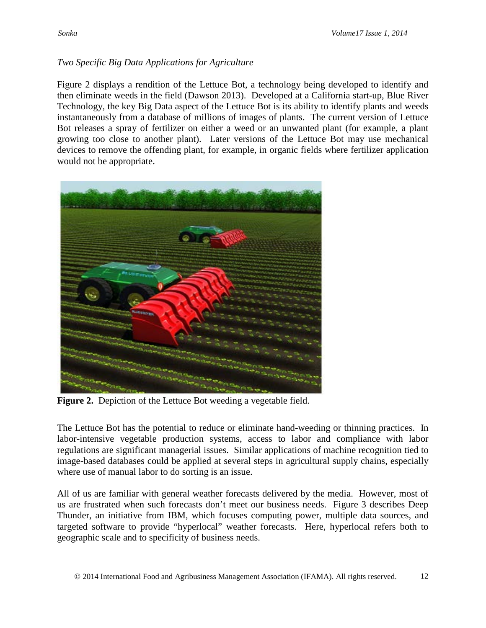#### *Two Specific Big Data Applications for Agriculture*

Figure 2 displays a rendition of the Lettuce Bot, a technology being developed to identify and then eliminate weeds in the field (Dawson 2013). Developed at a California start-up, Blue River Technology, the key Big Data aspect of the Lettuce Bot is its ability to identify plants and weeds instantaneously from a database of millions of images of plants. The current version of Lettuce Bot releases a spray of fertilizer on either a weed or an unwanted plant (for example, a plant growing too close to another plant). Later versions of the Lettuce Bot may use mechanical devices to remove the offending plant, for example, in organic fields where fertilizer application would not be appropriate.



**Figure 2.** Depiction of the Lettuce Bot weeding a vegetable field.

The Lettuce Bot has the potential to reduce or eliminate hand-weeding or thinning practices. In labor-intensive vegetable production systems, access to labor and compliance with labor regulations are significant managerial issues. Similar applications of machine recognition tied to image-based databases could be applied at several steps in agricultural supply chains, especially where use of manual labor to do sorting is an issue.

All of us are familiar with general weather forecasts delivered by the media. However, most of us are frustrated when such forecasts don't meet our business needs. Figure 3 describes Deep Thunder, an initiative from IBM, which focuses computing power, multiple data sources, and targeted software to provide "hyperlocal" weather forecasts. Here, hyperlocal refers both to geographic scale and to specificity of business needs.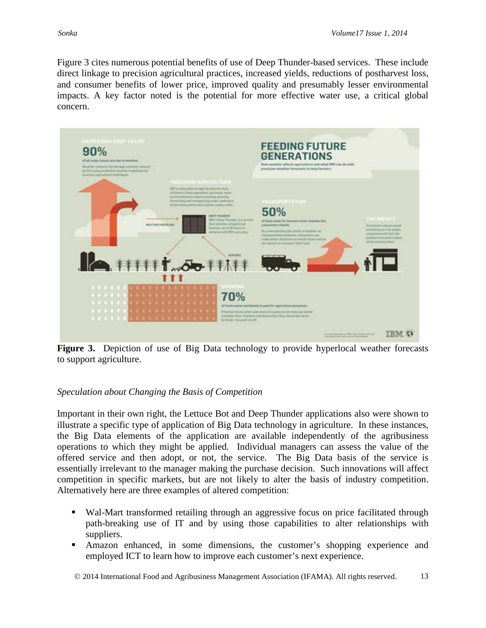Figure 3 cites numerous potential benefits of use of Deep Thunder-based services. These include direct linkage to precision agricultural practices, increased yields, reductions of postharvest loss, and consumer benefits of lower price, improved quality and presumably lesser environmental impacts. A key factor noted is the potential for more effective water use, a critical global concern.



Figure 3. Depiction of use of Big Data technology to provide hyperlocal weather forecasts to support agriculture.

#### *Speculation about Changing the Basis of Competition*

Important in their own right, the Lettuce Bot and Deep Thunder applications also were shown to illustrate a specific type of application of Big Data technology in agriculture. In these instances, the Big Data elements of the application are available independently of the agribusiness operations to which they might be applied. Individual managers can assess the value of the offered service and then adopt, or not, the service. The Big Data basis of the service is essentially irrelevant to the manager making the purchase decision. Such innovations will affect competition in specific markets, but are not likely to alter the basis of industry competition. Alternatively here are three examples of altered competition:

- Wal-Mart transformed retailing through an aggressive focus on price facilitated through path-breaking use of IT and by using those capabilities to alter relationships with suppliers.
- Amazon enhanced, in some dimensions, the customer's shopping experience and employed ICT to learn how to improve each customer's next experience.

2014 International Food and Agribusiness Management Association (IFAMA). All rights reserved. 13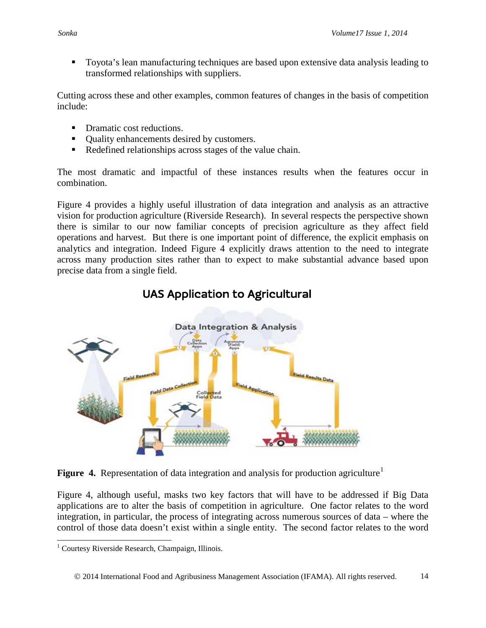Toyota's lean manufacturing techniques are based upon extensive data analysis leading to transformed relationships with suppliers.

Cutting across these and other examples, common features of changes in the basis of competition include:

- Dramatic cost reductions.
- Quality enhancements desired by customers.
- Redefined relationships across stages of the value chain.

The most dramatic and impactful of these instances results when the features occur in combination.

Figure 4 provides a highly useful illustration of data integration and analysis as an attractive vision for production agriculture (Riverside Research). In several respects the perspective shown there is similar to our now familiar concepts of precision agriculture as they affect field operations and harvest. But there is one important point of difference, the explicit emphasis on analytics and integration. Indeed Figure 4 explicitly draws attention to the need to integrate across many production sites rather than to expect to make substantial advance based upon precise data from a single field.



# UAS Application to Agricultural

**Figure 4.** Representation of data integration and analysis for production agriculture<sup>[1](#page-13-0)</sup>

Figure 4, although useful, masks two key factors that will have to be addressed if Big Data applications are to alter the basis of competition in agriculture. One factor relates to the word integration, in particular, the process of integrating across numerous sources of data – where the control of those data doesn't exist within a single entity. The second factor relates to the word

<span id="page-13-0"></span><sup>&</sup>lt;sup>1</sup> Courtesy Riverside Research, Champaign, Illinois.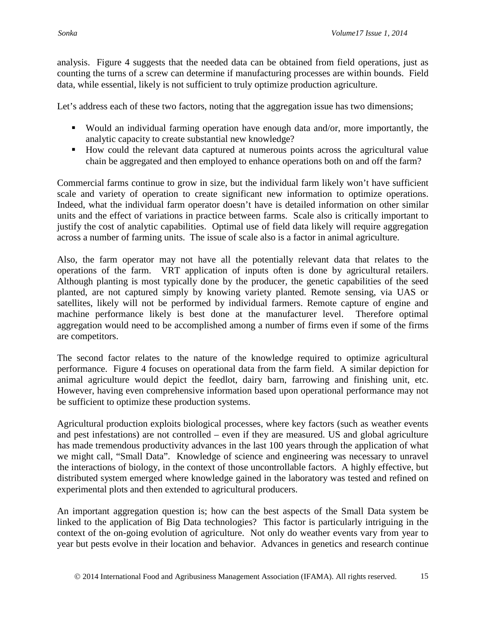analysis. Figure 4 suggests that the needed data can be obtained from field operations, just as counting the turns of a screw can determine if manufacturing processes are within bounds. Field data, while essential, likely is not sufficient to truly optimize production agriculture.

Let's address each of these two factors, noting that the aggregation issue has two dimensions;

- Would an individual farming operation have enough data and/or, more importantly, the analytic capacity to create substantial new knowledge?
- How could the relevant data captured at numerous points across the agricultural value chain be aggregated and then employed to enhance operations both on and off the farm?

Commercial farms continue to grow in size, but the individual farm likely won't have sufficient scale and variety of operation to create significant new information to optimize operations. Indeed, what the individual farm operator doesn't have is detailed information on other similar units and the effect of variations in practice between farms. Scale also is critically important to justify the cost of analytic capabilities. Optimal use of field data likely will require aggregation across a number of farming units. The issue of scale also is a factor in animal agriculture.

Also, the farm operator may not have all the potentially relevant data that relates to the operations of the farm. VRT application of inputs often is done by agricultural retailers. Although planting is most typically done by the producer, the genetic capabilities of the seed planted, are not captured simply by knowing variety planted. Remote sensing, via UAS or satellites, likely will not be performed by individual farmers. Remote capture of engine and machine performance likely is best done at the manufacturer level. Therefore optimal aggregation would need to be accomplished among a number of firms even if some of the firms are competitors.

The second factor relates to the nature of the knowledge required to optimize agricultural performance. Figure 4 focuses on operational data from the farm field. A similar depiction for animal agriculture would depict the feedlot, dairy barn, farrowing and finishing unit, etc. However, having even comprehensive information based upon operational performance may not be sufficient to optimize these production systems.

Agricultural production exploits biological processes, where key factors (such as weather events and pest infestations) are not controlled – even if they are measured. US and global agriculture has made tremendous productivity advances in the last 100 years through the application of what we might call, "Small Data". Knowledge of science and engineering was necessary to unravel the interactions of biology, in the context of those uncontrollable factors. A highly effective, but distributed system emerged where knowledge gained in the laboratory was tested and refined on experimental plots and then extended to agricultural producers.

An important aggregation question is; how can the best aspects of the Small Data system be linked to the application of Big Data technologies? This factor is particularly intriguing in the context of the on-going evolution of agriculture. Not only do weather events vary from year to year but pests evolve in their location and behavior. Advances in genetics and research continue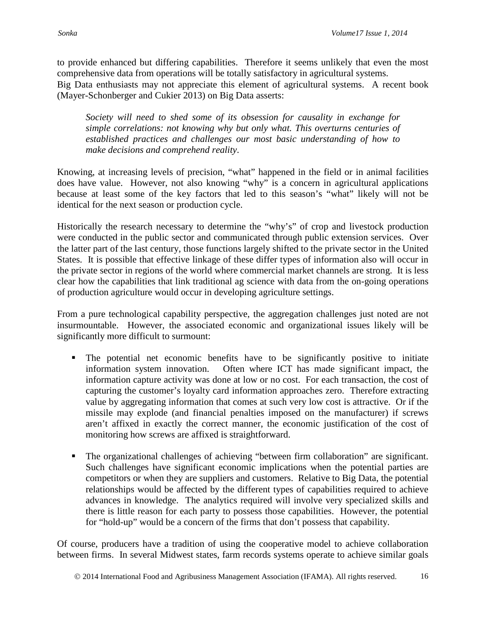to provide enhanced but differing capabilities. Therefore it seems unlikely that even the most comprehensive data from operations will be totally satisfactory in agricultural systems. Big Data enthusiasts may not appreciate this element of agricultural systems. A recent book

(Mayer-Schonberger and Cukier 2013) on Big Data asserts:

*Society will need to shed some of its obsession for causality in exchange for simple correlations: not knowing why but only what. This overturns centuries of established practices and challenges our most basic understanding of how to make decisions and comprehend reality*.

Knowing, at increasing levels of precision, "what" happened in the field or in animal facilities does have value. However, not also knowing "why" is a concern in agricultural applications because at least some of the key factors that led to this season's "what" likely will not be identical for the next season or production cycle.

Historically the research necessary to determine the "why's" of crop and livestock production were conducted in the public sector and communicated through public extension services. Over the latter part of the last century, those functions largely shifted to the private sector in the United States. It is possible that effective linkage of these differ types of information also will occur in the private sector in regions of the world where commercial market channels are strong. It is less clear how the capabilities that link traditional ag science with data from the on-going operations of production agriculture would occur in developing agriculture settings.

From a pure technological capability perspective, the aggregation challenges just noted are not insurmountable. However, the associated economic and organizational issues likely will be significantly more difficult to surmount:

- The potential net economic benefits have to be significantly positive to initiate information system innovation. Often where ICT has made significant impact, the information capture activity was done at low or no cost. For each transaction, the cost of capturing the customer's loyalty card information approaches zero. Therefore extracting value by aggregating information that comes at such very low cost is attractive. Or if the missile may explode (and financial penalties imposed on the manufacturer) if screws aren't affixed in exactly the correct manner, the economic justification of the cost of monitoring how screws are affixed is straightforward.
- The organizational challenges of achieving "between firm collaboration" are significant. Such challenges have significant economic implications when the potential parties are competitors or when they are suppliers and customers. Relative to Big Data, the potential relationships would be affected by the different types of capabilities required to achieve advances in knowledge. The analytics required will involve very specialized skills and there is little reason for each party to possess those capabilities. However, the potential for "hold-up" would be a concern of the firms that don't possess that capability.

Of course, producers have a tradition of using the cooperative model to achieve collaboration between firms. In several Midwest states, farm records systems operate to achieve similar goals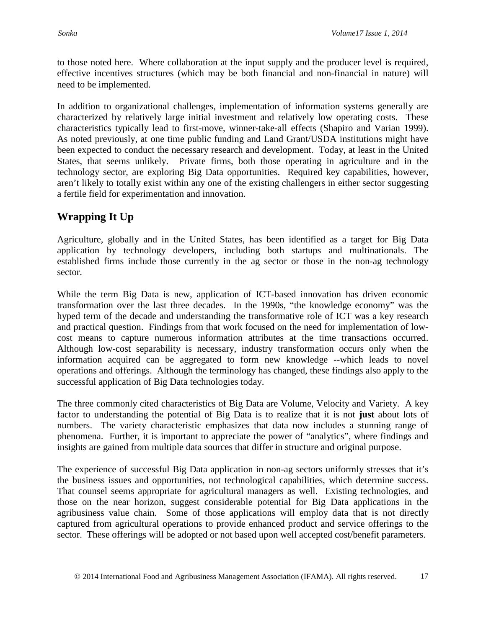to those noted here. Where collaboration at the input supply and the producer level is required, effective incentives structures (which may be both financial and non-financial in nature) will need to be implemented.

In addition to organizational challenges, implementation of information systems generally are characterized by relatively large initial investment and relatively low operating costs. These characteristics typically lead to first-move, winner-take-all effects (Shapiro and Varian 1999). As noted previously, at one time public funding and Land Grant/USDA institutions might have been expected to conduct the necessary research and development. Today, at least in the United States, that seems unlikely. Private firms, both those operating in agriculture and in the technology sector, are exploring Big Data opportunities. Required key capabilities, however, aren't likely to totally exist within any one of the existing challengers in either sector suggesting a fertile field for experimentation and innovation.

# **Wrapping It Up**

Agriculture, globally and in the United States, has been identified as a target for Big Data application by technology developers, including both startups and multinationals. The established firms include those currently in the ag sector or those in the non-ag technology sector.

While the term Big Data is new, application of ICT-based innovation has driven economic transformation over the last three decades. In the 1990s, "the knowledge economy" was the hyped term of the decade and understanding the transformative role of ICT was a key research and practical question. Findings from that work focused on the need for implementation of lowcost means to capture numerous information attributes at the time transactions occurred. Although low-cost separability is necessary, industry transformation occurs only when the information acquired can be aggregated to form new knowledge --which leads to novel operations and offerings. Although the terminology has changed, these findings also apply to the successful application of Big Data technologies today.

The three commonly cited characteristics of Big Data are Volume, Velocity and Variety. A key factor to understanding the potential of Big Data is to realize that it is not **just** about lots of numbers. The variety characteristic emphasizes that data now includes a stunning range of phenomena. Further, it is important to appreciate the power of "analytics", where findings and insights are gained from multiple data sources that differ in structure and original purpose.

The experience of successful Big Data application in non-ag sectors uniformly stresses that it's the business issues and opportunities, not technological capabilities, which determine success. That counsel seems appropriate for agricultural managers as well. Existing technologies, and those on the near horizon, suggest considerable potential for Big Data applications in the agribusiness value chain. Some of those applications will employ data that is not directly captured from agricultural operations to provide enhanced product and service offerings to the sector. These offerings will be adopted or not based upon well accepted cost/benefit parameters.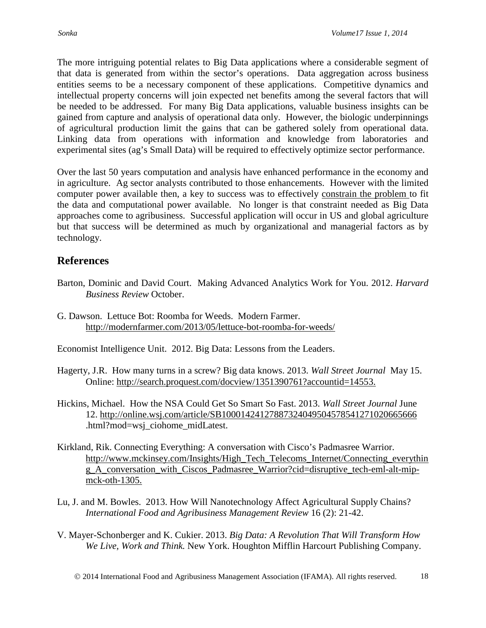The more intriguing potential relates to Big Data applications where a considerable segment of that data is generated from within the sector's operations. Data aggregation across business entities seems to be a necessary component of these applications. Competitive dynamics and intellectual property concerns will join expected net benefits among the several factors that will be needed to be addressed. For many Big Data applications, valuable business insights can be gained from capture and analysis of operational data only. However, the biologic underpinnings of agricultural production limit the gains that can be gathered solely from operational data. Linking data from operations with information and knowledge from laboratories and experimental sites (ag's Small Data) will be required to effectively optimize sector performance.

Over the last 50 years computation and analysis have enhanced performance in the economy and in agriculture. Ag sector analysts contributed to those enhancements. However with the limited computer power available then, a key to success was to effectively constrain the problem to fit the data and computational power available. No longer is that constraint needed as Big Data approaches come to agribusiness. Successful application will occur in US and global agriculture but that success will be determined as much by organizational and managerial factors as by technology.

### **References**

- Barton, Dominic and David Court. Making Advanced Analytics Work for You. 2012. *Harvard Business Review* October.
- G. Dawson. Lettuce Bot: Roomba for Weeds. Modern Farmer. <http://modernfarmer.com/2013/05/lettuce-bot-roomba-for-weeds/>

Economist Intelligence Unit. 2012. Big Data: Lessons from the Leaders.

- Hagerty, J.R. How many turns in a screw? Big data knows. 2013. *Wall Street Journal* May 15. Online: [http://search.proquest.com/docview/1351390761?accountid=14553.](http://search.proquest.com/docview/1351390761?accountid=14553)
- Hickins, Michael. How the NSA Could Get So Smart So Fast. 2013. *Wall Street Journal* June 12. [http://online.wsj.com/article/SB10001424127887324049504578541271020665666](http://online.wsj.com/article/SB10001424127887324049504578541271020665666.html?mod=wsj_ciohome_midLatest) .html?mod=wsj\_ciohome\_midLatest.
- Kirkland, Rik. Connecting Everything: A conversation with Cisco's Padmasree Warrior. [http://www.mckinsey.com/Insights/High\\_Tech\\_Telecoms\\_Internet/Connecting\\_everythin](http://www.mckinsey.com/Insights/High_Tech_Telecoms_Internet/Connecting_everything_A_conversation_with_Ciscos_Padmasree_Warrior?cid=disruptive_tech-eml-alt-mip-mck-oth-1305) [g\\_A\\_conversation\\_with\\_Ciscos\\_Padmasree\\_Warrior?cid=disruptive\\_tech-eml-alt-mip](http://www.mckinsey.com/Insights/High_Tech_Telecoms_Internet/Connecting_everything_A_conversation_with_Ciscos_Padmasree_Warrior?cid=disruptive_tech-eml-alt-mip-mck-oth-1305)[mck-oth-1305.](http://www.mckinsey.com/Insights/High_Tech_Telecoms_Internet/Connecting_everything_A_conversation_with_Ciscos_Padmasree_Warrior?cid=disruptive_tech-eml-alt-mip-mck-oth-1305)
- Lu, J. and M. Bowles. 2013. How Will Nanotechnology Affect Agricultural Supply Chains? *International Food and Agribusiness Management Review* 16 (2): 21-42.
- V. Mayer-Schonberger and K. Cukier. 2013. *Big Data: A Revolution That Will Transform How We Live, Work and Think.* New York. Houghton Mifflin Harcourt Publishing Company.